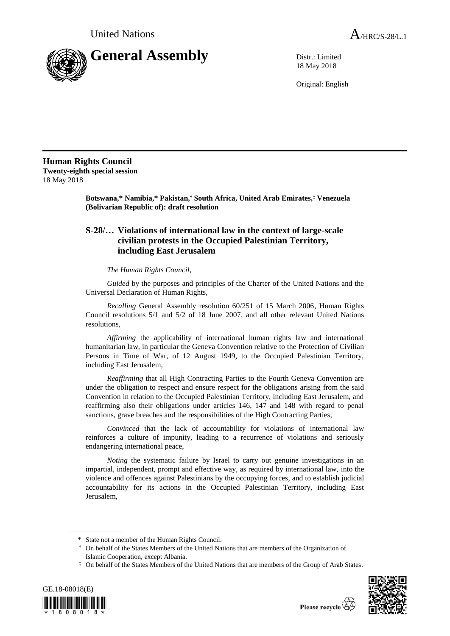

18 May 2018

Original: English

**Human Rights Council**

**Twenty-eighth special session** 18 May 2018

> **Botswana,\* Namibia,\* Pakistan,† South Africa, United Arab Emirates,‡ Venezuela (Bolivarian Republic of): draft resolution**

## **S-28/… Violations of international law in the context of large-scale civilian protests in the Occupied Palestinian Territory, including East Jerusalem**

## *The Human Rights Council*,

*Guided* by the purposes and principles of the Charter of the United Nations and the Universal Declaration of Human Rights,

*Recalling* General Assembly resolution 60/251 of 15 March 2006, Human Rights Council resolutions 5/1 and 5/2 of 18 June 2007, and all other relevant United Nations resolutions,

*Affirming* the applicability of international human rights law and international humanitarian law, in particular the Geneva Convention relative to the Protection of Civilian Persons in Time of War, of 12 August 1949, to the Occupied Palestinian Territory, including East Jerusalem,

*Reaffirming* that all High Contracting Parties to the Fourth Geneva Convention are under the obligation to respect and ensure respect for the obligations arising from the said Convention in relation to the Occupied Palestinian Territory, including East Jerusalem, and reaffirming also their obligations under articles 146, 147 and 148 with regard to penal sanctions, grave breaches and the responsibilities of the High Contracting Parties,

*Convinced* that the lack of accountability for violations of international law reinforces a culture of impunity, leading to a recurrence of violations and seriously endangering international peace,

*Noting* the systematic failure by Israel to carry out genuine investigations in an impartial, independent, prompt and effective way, as required by international law, into the violence and offences against Palestinians by the occupying forces, and to establish judicial accountability for its actions in the Occupied Palestinian Territory, including East Jerusalem,

<sup>‡</sup> On behalf of the States Members of the United Nations that are members of the Group of Arab States.





<sup>\*</sup> State not a member of the Human Rights Council.

<sup>†</sup> On behalf of the States Members of the United Nations that are members of the Organization of Islamic Cooperation, except Albania.